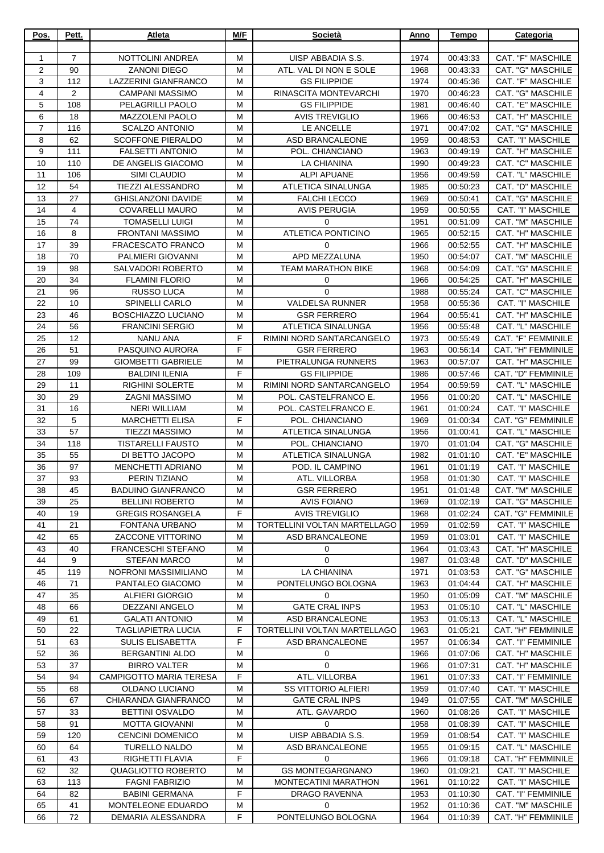| Pos.           | Pett.          | Atleta                                                | M/F    | Società                                 | Anno         | Tempo                | Categoria                               |
|----------------|----------------|-------------------------------------------------------|--------|-----------------------------------------|--------------|----------------------|-----------------------------------------|
| $\mathbf{1}$   | $\overline{7}$ | <b>NOTTOLINI ANDREA</b>                               | M      | UISP ABBADIA S.S.                       | 1974         | 00:43:33             | CAT. "F" MASCHILE                       |
| $\overline{2}$ | 90             | <b>ZANONI DIEGO</b>                                   | M      | ATL. VAL DI NON E SOLE                  | 1968         | 00:43:33             | CAT. "G" MASCHILE                       |
| 3              | 112            | LAZZERINI GIANFRANCO                                  | M      | <b>GS FILIPPIDE</b>                     | 1974         | 00:45:36             | CAT. "F" MASCHILE                       |
| 4              | $\overline{2}$ | <b>CAMPANI MASSIMO</b>                                | M      | RINASCITA MONTEVARCHI                   | 1970         | 00:46:23             | CAT. "G" MASCHILE                       |
| 5              | 108            | PELAGRILLI PAOLO                                      | M      | <b>GS FILIPPIDE</b>                     | 1981         | 00:46:40             | CAT. "E" MASCHILE                       |
| 6              | 18             | <b>MAZZOLENI PAOLO</b>                                | M      | <b>AVIS TREVIGLIO</b>                   | 1966         | 00:46:53             | CAT. "H" MASCHILE                       |
| $\overline{7}$ | 116            | <b>SCALZO ANTONIO</b>                                 | M      | LE ANCELLE                              | 1971         | 00:47:02             | CAT. "G" MASCHILE                       |
| 8              | 62<br>111      | <b>SCOFFONE PIERALDO</b>                              | M<br>M | ASD BRANCALEONE<br>POL. CHIANCIANO      | 1959         | 00:48:53             | CAT. "I" MASCHILE<br>CAT. "H" MASCHILE  |
| 9<br>10        | 110            | <b>FALSETTI ANTONIO</b><br>DE ANGELIS GIACOMO         | M      | <b>LA CHIANINA</b>                      | 1963<br>1990 | 00:49:19<br>00:49:23 | <b>CAT. "C" MASCHILE</b>                |
| 11             | 106            | <b>SIMI CLAUDIO</b>                                   | M      | <b>ALPI APUANE</b>                      | 1956         | 00:49:59             | CAT. "L" MASCHILE                       |
| 12             | 54             | <b>TIEZZI ALESSANDRO</b>                              | M      | ATLETICA SINALUNGA                      | 1985         | 00:50:23             | CAT. "D" MASCHILE                       |
| 13             | 27             | <b>GHISLANZONI DAVIDE</b>                             | M      | <b>FALCHI LECCO</b>                     | 1969         | 00:50:41             | CAT. "G" MASCHILE                       |
| 14             | 4              | <b>COVARELLI MAURO</b>                                | M      | <b>AVIS PERUGIA</b>                     | 1959         | 00:50:55             | CAT. "I" MASCHILE                       |
| 15             | 74             | <b>TOMASELLI LUIGI</b>                                | M      | 0                                       | 1951         | 00:51:09             | CAT. "M" MASCHILE                       |
| 16             | 8              | FRONTANI MASSIMO                                      | M      | <b>ATLETICA PONTICINO</b>               | 1965         | 00:52:15             | CAT. "H" MASCHILE                       |
| 17             | 39             | <b>FRACESCATO FRANCO</b>                              | M      | 0                                       | 1966         | 00:52:55             | CAT. "H" MASCHILE                       |
| 18             | 70             | <b>PALMIERI GIOVANNI</b>                              | M      | APD MEZZALUNA                           | 1950         | 00:54:07             | CAT. "M" MASCHILE                       |
| 19             | 98<br>34       | SALVADORI ROBERTO<br><b>FLAMINI FLORIO</b>            | M<br>M | <b>TEAM MARATHON BIKE</b>               | 1968         | 00:54:09             | CAT. "G" MASCHILE<br>CAT. "H" MASCHILE  |
| 20<br>21       | 96             | <b>RUSSO LUCA</b>                                     | M      | 0<br>$\Omega$                           | 1966<br>1988 | 00:54:25<br>00:55:24 | <b>CAT. "C" MASCHILE</b>                |
| 22             | 10             | SPINELLI CARLO                                        | M      | <b>VALDELSA RUNNER</b>                  | 1958         | 00:55:36             | CAT. "I" MASCHILE                       |
| 23             | 46             | BOSCHIAZZO LUCIANO                                    | м      | <b>GSR FERRERO</b>                      | 1964         | 00:55:41             | CAT. "H" MASCHILE                       |
| 24             | 56             | <b>FRANCINI SERGIO</b>                                | м      | ATLETICA SINALUNGA                      | 1956         | 00:55:48             | CAT. "L" MASCHILE                       |
| 25             | 12             | <b>NANU ANA</b>                                       | F      | RIMINI NORD SANTARCANGELO               | 1973         | 00:55:49             | <b>CAT. "F" FEMMINILE</b>               |
| 26             | 51             | PASQUINO AURORA                                       | F      | <b>GSR FERRERO</b>                      | 1963         | 00:56:14             | CAT. "H" FEMMINILE                      |
| 27             | 99             | <b>GIOMBETTI GABRIELE</b>                             | M      | PIETRALUNGA RUNNERS                     | 1963         | 00:57:07             | CAT. "H" MASCHILE                       |
| 28             | 109            | <b>BALDINI ILENIA</b>                                 | F      | <b>GS FILIPPIDE</b>                     | 1986         | 00:57:46             | CAT. "D" FEMMINILE                      |
| 29             | 11             | <b>RIGHINI SOLERTE</b>                                | M      | RIMINI NORD SANTARCANGELO               | 1954         | 00:59:59             | CAT. "L" MASCHILE                       |
| 30             | 29             | <b>ZAGNI MASSIMO</b>                                  | м      | POL. CASTELFRANCO E.                    | 1956         | 01:00:20             | CAT. "L" MASCHILE                       |
| 31<br>32       | 16<br>5        | <b>NERI WILLIAM</b><br><b>MARCHETTI ELISA</b>         | M<br>F | POL. CASTELFRANCO E.<br>POL. CHIANCIANO | 1961<br>1969 | 01:00:24<br>01:00:34 | CAT. "I" MASCHILE<br>CAT. "G" FEMMINILE |
| 33             | 57             | TIEZZI MASSIMO                                        | M      | ATLETICA SINALUNGA                      | 1956         | 01:00:41             | CAT. "L" MASCHILE                       |
| 34             | 118            | <b>TISTARELLI FAUSTO</b>                              | M      | POL. CHIANCIANO                         | 1970         | 01:01:04             | CAT. "G" MASCHILE                       |
| 35             | 55             | DI BETTO JACOPO                                       | M      | ATLETICA SINALUNGA                      | 1982         | 01:01:10             | CAT. "E" MASCHILE                       |
| 36             | 97             | <b>MENCHETTI ADRIANO</b>                              | M      | POD. IL CAMPINO                         | 1961         | 01:01:19             | CAT. "I" MASCHILE                       |
| 37             | 93             | PERIN TIZIANO                                         | M      | ATL. VILLORBA                           | 1958         | 01:01:30             | CAT. "I" MASCHILE                       |
| 38             | 45             | <b>BADUINO GIANFRANCO</b>                             | м      | <b>GSR FERRERO</b>                      | 1951         | 01:01:48             | CAT. "M" MASCHILE                       |
| 39             | 25             | <b>BELLINI ROBERTO</b>                                | M      | <b>AVIS FOIANO</b>                      | 1969         | 01:02:19             | CAT. "G" MASCHILE                       |
| 40             | 19             | <b>GREGIS ROSANGELA</b>                               | F      | <b>AVIS TREVIGLIO</b>                   | 1968         | 01:02:24             | CAT. "G" FEMMINILE                      |
| 41             | 21             | FONTANA URBANO                                        | M      | TORTELLINI VOLTAN MARTELLAGO            | 1959         | 01:02:59             | CAT. "I" MASCHILE                       |
| 42<br>43       | 65<br>40       | <b>ZACCONE VITTORINO</b><br><b>FRANCESCHI STEFANO</b> | м<br>м | ASD BRANCALEONE<br>0                    | 1959<br>1964 | 01:03:01<br>01:03:43 | CAT. "I" MASCHILE<br>CAT. "H" MASCHILE  |
| 44             | 9              | <b>STEFAN MARCO</b>                                   | м      | 0                                       | 1987         | 01:03:48             | CAT. "D" MASCHILE                       |
| 45             | 119            | NOFRONI MASSIMILIANO                                  | м      | LA CHIANINA                             | 1971         | 01:03:53             | CAT. "G" MASCHILE                       |
| 46             | 71             | PANTALEO GIACOMO                                      | M      | PONTELUNGO BOLOGNA                      | 1963         | 01:04:44             | CAT. "H" MASCHILE                       |
| 47             | 35             | <b>ALFIERI GIORGIO</b>                                | M      | 0                                       | 1950         | 01:05:09             | CAT. "M" MASCHILE                       |
| 48             | 66             | <b>DEZZANI ANGELO</b>                                 | М      | <b>GATE CRAL INPS</b>                   | 1953         | 01:05:10             | CAT. "L" MASCHILE                       |
| 49             | 61             | <b>GALATI ANTONIO</b>                                 | м      | ASD BRANCALEONE                         | 1953         | 01:05:13             | CAT. "L" MASCHILE                       |
| 50             | 22             | <b>TAGLIAPIETRA LUCIA</b>                             | F      | TORTELLINI VOLTAN MARTELLAGO            | 1963         | 01:05:21             | CAT. "H" FEMMINILE                      |
| 51             | 63             | <b>SULIS ELISABETTA</b>                               | F      | ASD BRANCALEONE                         | 1957         | 01:06:34             | CAT. "I" FEMMINILE                      |
| 52<br>53       | 36<br>37       | <b>BERGANTINI ALDO</b><br><b>BIRRO VALTER</b>         | м<br>M | 0<br>0                                  | 1966         | 01:07:06             | CAT. "H" MASCHILE<br>CAT. "H" MASCHILE  |
| 54             | 94             | <b>CAMPIGOTTO MARIA TERESA</b>                        | F      | ATL. VILLORBA                           | 1966<br>1961 | 01:07:31<br>01:07:33 | CAT. "I" FEMMINILE                      |
| 55             | 68             | OLDANO LUCIANO                                        | м      | <b>SS VITTORIO ALFIERI</b>              | 1959         | 01:07:40             | CAT. "I" MASCHILE                       |
| 56             | 67             | CHIARANDA GIANFRANCO                                  | м      | <b>GATE CRAL INPS</b>                   | 1949         | 01:07:55             | CAT. "M" MASCHILE                       |
| 57             | 33             | <b>BETTINI OSVALDO</b>                                | M      | ATL. GAVARDO                            | 1960         | 01:08:26             | CAT. "I" MASCHILE                       |
| 58             | 91             | <b>MOTTA GIOVANNI</b>                                 | M      | 0                                       | 1958         | 01:08:39             | CAT. "I" MASCHILE                       |
| 59             | 120            | <b>CENCINI DOMENICO</b>                               | M      | UISP ABBADIA S.S.                       | 1959         | 01:08:54             | CAT. "I" MASCHILE                       |
| 60             | 64             | <b>TURELLO NALDO</b>                                  | M      | ASD BRANCALEONE                         | 1955         | 01:09:15             | CAT. "L" MASCHILE                       |
| 61             | 43             | RIGHETTI FLAVIA                                       | F      | $\Omega$                                | 1966         | 01:09:18             | CAT. "H" FEMMINILE                      |
| 62             | 32             | QUAGLIOTTO ROBERTO                                    | м      | <b>GS MONTEGARGNANO</b>                 | 1960         | 01:09:21             | CAT. "I" MASCHILE                       |
| 63<br>64       | 113<br>82      | <b>FAGNI FABRIZIO</b><br><b>BABINI GERMANA</b>        | м<br>F | MONTECATINI MARATHON<br>DRAGO RAVENNA   | 1961<br>1953 | 01:10:22<br>01:10:30 | CAT. "I" MASCHILE<br>CAT. "I" FEMMINILE |
| 65             | 41             | MONTELEONE EDUARDO                                    | M      | $\Omega$                                | 1952         | 01:10:36             | CAT. "M" MASCHILE                       |
| 66             | 72             | DEMARIA ALESSANDRA                                    | F      | PONTELUNGO BOLOGNA                      | 1964         | 01:10:39             | CAT. "H" FEMMINILE                      |